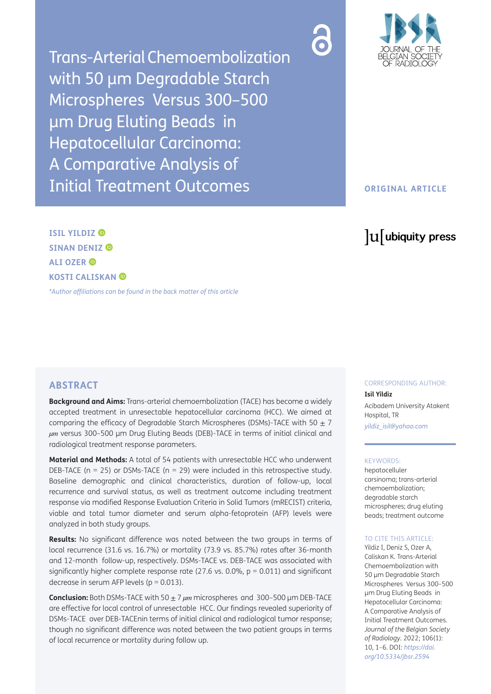Trans-Arterial Chemoembolization with 50 μm Degradable Starch Microspheres Versus 300–500 μm Drug Eluting Beads in Hepatocellular Carcinoma: A Comparative Analysis of Initial Treatment Outcomes



## **ORIGINAL ARTICLE**

# lu ubiquity press

**ISIL YILDIZ SINAN DENIZ ALI OZER KOSTI CALISKAN** 

*[\\*Author affiliations can be found in the back matter of this article](#page-4-0)*

## **ABSTRACT**

**Background and Aims:** Trans-arterial chemoembolization (TACE) has become a widely accepted treatment in unresectable hepatocellular carcinoma (HCC). We aimed at comparing the efficacy of Degradable Starch Microspheres (DSMs)-TACE with 50  $\pm$  7 *µm* versus 300–500 μm Drug Eluting Beads (DEB)-TACE in terms of initial clinical and radiological treatment response parameters.

**Material and Methods:** A total of 54 patients with unresectable HCC who underwent DEB-TACE ( $n = 25$ ) or DSMs-TACE ( $n = 29$ ) were included in this retrospective study. Baseline demographic and clinical characteristics, duration of follow-up, local recurrence and survival status, as well as treatment outcome including treatment response via modified Response Evaluation Criteria in Solid Tumors (mRECIST) criteria, viable and total tumor diameter and serum alpha-fetoprotein (AFP) levels were analyzed in both study groups.

**Results:** No significant difference was noted between the two groups in terms of local recurrence (31.6 vs. 16.7%) or mortality (73.9 vs. 85.7%) rates after 36-month and 12-month follow-up, respectively. DSMs-TACE vs. DEB-TACE was associated with significantly higher complete response rate (27.6 vs. 0.0%,  $p = 0.011$ ) and significant decrease in serum AFP levels ( $p = 0.013$ ).

**Conclusion:** Both DSMs-TACE with 50 ± 7 *µm* microspheres and 300–500 μm DEB-TACE are effective for local control of unresectable HCC. Our findings revealed superiority of DSMs-TACE over DEB-TACEnin terms of initial clinical and radiological tumor response; though no significant difference was noted between the two patient groups in terms of local recurrence or mortality during follow up.

CORRESPONDING AUTHOR:

**Isil Yildiz** Acibadem University Atakent Hospital, TR *[yildiz\\_isil@yahoo.com](mailto:yildiz_isil@yahoo.com)*

#### KEYWORDS:

hepatocelluler carsinoma; trans-arterial chemoembolization; degradable starch microspheres; drug eluting beads; treatment outcome

#### TO CITE THIS ARTICLE:

Yildiz I, Deniz S, Ozer A, Caliskan K. Trans-Arterial Chemoembolization with 50 μm Degradable Starch Microspheres Versus 300–500 μm Drug Eluting Beads in Hepatocellular Carcinoma: A Comparative Analysis of Initial Treatment Outcomes. *Journal of the Belgian Society of Radiology.* 2022; 106(1): 10, 1–6. DOI: *[https://doi.](https://doi.org/10.5334/jbsr.2594) [org/10.5334/jbsr.2594](https://doi.org/10.5334/jbsr.2594)*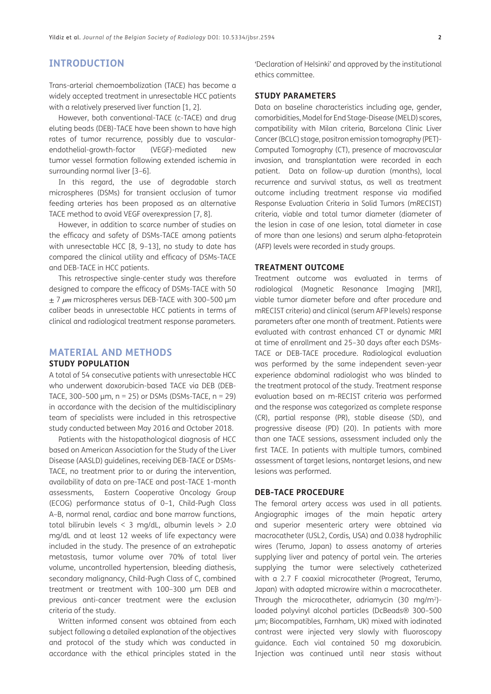# **INTRODUCTION**

Trans-arterial chemoembolization (TACE) has become a widely accepted treatment in unresectable HCC patients with a relatively preserved liver function [\[1](#page-4-1), [2\]](#page-4-1).

However, both conventional-TACE (c-TACE) and drug eluting beads (DEB)-TACE have been shown to have high rates of tumor recurrence, possibly due to vascularendothelial-growth-factor (VEGF)-mediated new tumor vessel formation following extended ischemia in surrounding normal liver [\[3](#page-4-1)–[6\]](#page-4-1).

In this regard, the use of degradable starch microspheres (DSMs) for transient occlusion of tumor feeding arteries has been proposed as an alternative TACE method to avoid VEGF overexpression [[7, 8](#page-4-1)].

However, in addition to scarce number of studies on the efficacy and safety of DSMs-TACE among patients with unresectable HCC [[8,](#page-4-1) [9–13\]](#page-4-1), no study to date has compared the clinical utility and efficacy of DSMs-TACE and DEB-TACE in HCC patients.

This retrospective single-center study was therefore designed to compare the efficacy of DSMs-TACE with 50 ± 7 *µm* microspheres versus DEB-TACE with 300–500 μm caliber beads in unresectable HCC patients in terms of clinical and radiological treatment response parameters.

# **MATERIAL AND METHODS**

#### **STUDY POPULATION**

A total of 54 consecutive patients with unresectable HCC who underwent doxorubicin-based TACE via DEB (DEB-TACE, 300-500  $\mu$ m, n = 25) or DSMs (DSMs-TACE, n = 29) in accordance with the decision of the multidisciplinary team of specialists were included in this retrospective study conducted between May 2016 and October 2018.

Patients with the histopathological diagnosis of HCC based on American Association for the Study of the Liver Disease (AASLD) guidelines, receiving DEB-TACE or DSMs-TACE, no treatment prior to or during the intervention, availability of data on pre-TACE and post-TACE 1-month assessments, Eastern Cooperative Oncology Group (ECOG) performance status of 0–1, Child-Pugh Class A–B, normal renal, cardiac and bone marrow functions, total bilirubin levels < 3 mg/dL, albumin levels > 2.0 mg/dL and at least 12 weeks of life expectancy were included in the study. The presence of an extrahepatic metastasis, tumor volume over 70% of total liver volume, uncontrolled hypertension, bleeding diathesis, secondary malignancy, Child-Pugh Class of C, combined treatment or treatment with 100–300 μm DEB and previous anti-cancer treatment were the exclusion criteria of the study.

Written informed consent was obtained from each subject following a detailed explanation of the objectives and protocol of the study which was conducted in accordance with the ethical principles stated in the 'Declaration of Helsinki' and approved by the institutional ethics committee.

## **STUDY PARAMETERS**

Data on baseline characteristics including age, gender, comorbidities, Model for End Stage-Disease (MELD) scores, compatibility with Milan criteria, Barcelona Clinic Liver Cancer (BCLC) stage, positron emission tomography (PET)- Computed Tomography (CT), presence of macrovascular invasion, and transplantation were recorded in each patient. Data on follow-up duration (months), local recurrence and survival status, as well as treatment outcome including treatment response via modified Response Evaluation Criteria in Solid Tumors (mRECIST) criteria, viable and total tumor diameter (diameter of the lesion in case of one lesion, total diameter in case of more than one lesions) and serum alpha-fetoprotein (AFP) levels were recorded in study groups.

## **TREATMENT OUTCOME**

Treatment outcome was evaluated in terms of radiological (Magnetic Resonance Imaging [MRI], viable tumor diameter before and after procedure and mRECIST criteria) and clinical (serum AFP levels) response parameters after one month of treatment. Patients were evaluated with contrast enhanced CT or dynamic MRI at time of enrollment and 25–30 days after each DSMs-TACE or DEB-TACE procedure. Radiological evaluation was performed by the same independent seven-year experience abdominal radiologist who was blinded to the treatment protocol of the study. Treatment response evaluation based on m-RECIST criteria was performed and the response was categorized as complete response (CR), partial response (PR), stable disease (SD), and progressive disease (PD) (20). In patients with more than one TACE sessions, assessment included only the first TACE. In patients with multiple tumors, combined assessment of target lesions, nontarget lesions, and new lesions was performed.

#### **DEB-TACE PROCEDURE**

The femoral artery access was used in all patients. Angiographic images of the main hepatic artery and superior mesenteric artery were obtained via macrocatheter (USL2, Cordis, USA) and 0.038 hydrophilic wires (Terumo, Japan) to assess anatomy of arteries supplying liver and patency of portal vein. The arteries supplying the tumor were selectively catheterized with a 2.7 F coaxial microcatheter (Progreat, Terumo, Japan) with adapted microwire within a macrocatheter. Through the microcatheter, adriamycin (30 mg/m2) loaded polyvinyl alcohol particles (DcBeads® 300–500 μm; Biocompatibles, Farnham, UK) mixed with iodinated contrast were injected very slowly with fluoroscopy guidance. Each vial contained 50 mg doxorubicin. Injection was continued until near stasis without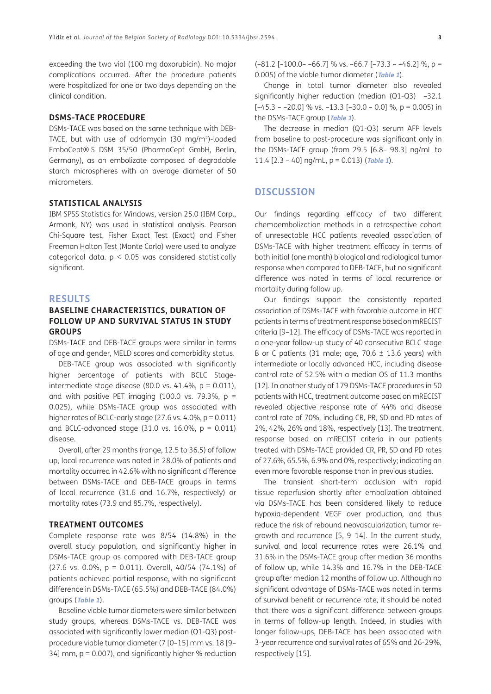exceeding the two vial (100 mg doxorubicin). No major complications occurred. After the procedure patients were hospitalized for one or two days depending on the clinical condition.

#### **DSMS-TACE PROCEDURE**

DSMs-TACE was based on the same technique with DEB-TACE, but with use of adriamycin (30 mg/m2)-loaded EmboCept® S DSM 35/50 (PharmaCept GmbH, Berlin, Germany), as an embolizate composed of degradable starch microspheres with an average diameter of 50 micrometers.

#### **STATISTICAL ANALYSIS**

IBM SPSS Statistics for Windows, version 25.0 (IBM Corp., Armonk, NY) was used in statistical analysis. Pearson Chi-Square test, Fisher Exact Test (Exact) and Fisher Freeman Halton Test (Monte Carlo) were used to analyze categorical data.  $p < 0.05$  was considered statistically significant.

#### **RESULTS**

## **BASELINE CHARACTERISTICS, DURATION OF FOLLOW UP AND SURVIVAL STATUS IN STUDY GROUPS**

DSMs-TACE and DEB-TACE groups were similar in terms of age and gender, MELD scores and comorbidity status.

DEB-TACE group was associated with significantly higher percentage of patients with BCLC Stageintermediate stage disease (80.0 vs. 41.4%,  $p = 0.011$ ), and with positive PET imaging (100.0 vs. 79.3%,  $p =$ 0.025), while DSMs-TACE group was associated with higher rates of BCLC-early stage (27.6 vs. 4.0%,  $p = 0.011$ ) and BCLC-advanced stage  $(31.0 \text{ vs. } 16.0\%, \text{ p} = 0.011)$ disease.

Overall, after 29 months (range, 12.5 to 36.5) of follow up, local recurrence was noted in 28.0% of patients and mortality occurred in 42.6% with no significant difference between DSMs-TACE and DEB-TACE groups in terms of local recurrence (31.6 and 16.7%, respectively) or mortality rates (73.9 and 85.7%, respectively).

#### **TREATMENT OUTCOMES**

Complete response rate was 8/54 (14.8%) in the overall study population, and significantly higher in DSMs-TACE group as compared with DEB-TACE group (27.6 vs. 0.0%, p = 0.011). Overall, 40/54 (74.1%) of patients achieved partial response, with no significant difference in DSMs-TACE (65.5%) and DEB-TACE (84.0%) groups (**[Table 1](#page-3-0)**).

Baseline viable tumor diameters were similar between study groups, whereas DSMs-TACE vs. DEB-TACE was associated with significantly lower median (Q1-Q3) postprocedure viable tumor diameter (7 [0–15] mm vs. 18 [9– 34] mm, p = 0.007), and significantly higher % reduction  $(-81.2$  [-100.0--66.7] % vs. -66.7 [-73.3 --46.2] %, p = 0.005) of the viable tumor diameter (**[Table 1](#page-3-0)**).

Change in total tumor diameter also revealed significantly higher reduction (median (Q1-Q3) –32.1  $[-45.3 - 20.0]$  % vs.  $-13.3$   $[-30.0 - 0.0]$  %, p = 0.005) in the DSMs-TACE group (**[Table 1](#page-3-0)**).

The decrease in median (Q1-Q3) serum AFP levels from baseline to post-procedure was significant only in the DSMs-TACE group (from 29.5 [6.8– 98.3] ng/mL to 11.4 [2.3 – 40] ng/mL, p = 0.013) (**[Table 1](#page-3-0)**).

### **DISCUSSION**

Our findings regarding efficacy of two different chemoembolization methods in a retrospective cohort of unresectable HCC patients revealed association of DSMs-TACE with higher treatment efficacy in terms of both initial (one month) biological and radiological tumor response when compared to DEB-TACE, but no significant difference was noted in terms of local recurrence or mortality during follow up.

Our findings support the consistently reported association of DSMs-TACE with favorable outcome in HCC patients in terms of treatment response based on mRECIST criteria [\[9](#page-4-1)–[12](#page-4-1)]. The efficacy of DSMs-TACE was reported in a one-year follow-up study of 40 consecutive BCLC stage B or C patients (31 male; age,  $70.6 \pm 13.6$  years) with intermediate or locally advanced HCC, including disease control rate of 52.5% with a median OS of 11.3 months [[12](#page-4-1)]. In another study of 179 DSMs-TACE procedures in 50 patients with HCC, treatment outcome based on mRECIST revealed objective response rate of 44% and disease control rate of 70%, including CR, PR, SD and PD rates of 2%, 42%, 26% and 18%, respectively [\[13](#page-4-1)]. The treatment response based on mRECIST criteria in our patients treated with DSMs-TACE provided CR, PR, SD and PD rates of 27.6%, 65.5%, 6.9% and 0%, respectively; indicating an even more favorable response than in previous studies.

The transient short-term occlusion with rapid tissue reperfusion shortly after embolization obtained via DSMs-TACE has been considered likely to reduce hypoxia-dependent VEGF over production, and thus reduce the risk of rebound neovascularization, tumor regrowth and recurrence [[5,](#page-4-1) [9–14\]](#page-4-1). In the current study, survival and local recurrence rates were 26.1% and 31.6% in the DSMs-TACE group after median 36 months of follow up, while 14.3% and 16.7% in the DEB-TACE group after median 12 months of follow up. Although no significant advantage of DSMs-TACE was noted in terms of survival benefit or recurrence rate, it should be noted that there was a significant difference between groups in terms of follow-up length. Indeed, in studies with longer follow-ups, DEB-TACE has been associated with 3-year recurrence and survival rates of 65% and 26-29%, respectively [[15](#page-4-1)].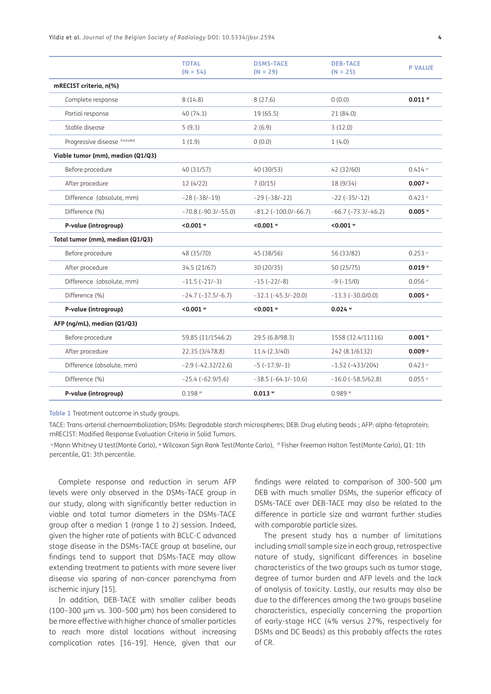Yildiz et al. *Journal of the Belgian Society of Radiology* DOI: [10.5334/jbsr.2594](https://doi.org/10.5334/jbsr.2594) **4**

|                                   | <b>TOTAL</b><br>$(N = 54)$    | <b>DSMS-TACE</b><br>$(N = 29)$ | <b>DEB-TACE</b><br>$(N = 25)$ | <b>P VALUE</b> |
|-----------------------------------|-------------------------------|--------------------------------|-------------------------------|----------------|
| mRECIST criteria, n(%)            |                               |                                |                               |                |
| Complete response                 | 8(14.8)                       | 8(27.6)                        | 0(0.0)                        | $0.011$ ff     |
| Partial response                  | 40(74.1)                      | 19(65.5)                       | 21 (84.0)                     |                |
| Stable disease                    | 5(9.3)                        | 2(6.9)                         | 3(12.0)                       |                |
| Progressive disease Excluded      | 1(1.9)                        | 0(0.0)                         | 1(4.0)                        |                |
| Viable tumor (mm), median (Q1/Q3) |                               |                                |                               |                |
| Before procedure                  | 40 (31/57)                    | 40 (30/53)                     | 42 (32/60)                    | $0.414$ $u$    |
| After procedure                   | 12 (4/22)                     | 7(0/15)                        | 18 (9/34)                     | $0.007$ "      |
| Difference (absolute, mm)         | $-28(-38/-19)$                | $-29(-38/-22)$                 | $-22 (-35/-12)$               | $0.423$ "      |
| Difference (%)                    | $-70.8$ ( $-90.3$ / $-55.0$ ) | $-81.2$ ( $-100.0$ / $-66.7$ ) | $-66.7$ ( $-73.3$ / $-46.2$ ) | $0.005$ "      |
| P-value (intragroup)              | $< 0.001$ $\circ$             | $0.001$ $W$                    | $< 0.001$ $\circ$             |                |
| Total tumor (mm), median (Q1/Q3)  |                               |                                |                               |                |
| Before procedure                  | 48 (35/70)                    | 45 (38/56)                     | 56 (33/82)                    | $0.253$ $u$    |
| After procedure                   | 34.5 (21/67)                  | 30 (20/35)                     | 50 (25/75)                    | $0.019$ $u$    |
| Difference (absolute, mm)         | $-11.5(-21/-3)$               | $-15 (-22/-8)$                 | $-9(-15/0)$                   | $0.056$ u      |
| Difference (%)                    | $-24.7 (-37.5/-6.7)$          | $-32.1 (-45.3/-20.0)$          | $-13.3$ $(-30.0/0.0)$         | $0.005$ "      |
| P-value (intragroup)              | $< 0.001$ $w$                 | $< 0.001$ $w$                  | $0.024$ $W$                   |                |
| AFP (ng/mL), median (Q1/Q3)       |                               |                                |                               |                |
| Before procedure                  | 59.85 (11/1546.2)             | 29.5 (6.8/98.3)                | 1558 (32.4/11116)             | $0.001$ "      |
| After procedure                   | 22.35 (3/478.8)               | 11.4 (2.3/40)                  | 242 (8.1/6132)                | $0.009$ "      |
| Difference (absolute, mm)         | $-2.9(-42.32/22.6)$           | $-5$ $(-17.9/-1)$              | $-1.52$ ( $-433/204$ )        | $0.423$ u      |
| Difference (%)                    | $-25.4 (-62.9/5.6)$           | $-38.5$ ( $-64.1/-10.6$ )      | $-16.0$ ( $-58.5/62.8$ )      | $0.055$ u      |
| P-value (intragroup)              | 0.198 w                       | $0.013$ $W$                    | 0.989 w                       |                |
|                                   |                               |                                |                               |                |

<span id="page-3-0"></span>**Table 1** Treatment outcome in study groups.

TACE: Trans-arterial chemoembolization; DSMs: Degradable starch microspheres; DEB: Drug eluting beads ; AFP: alpha-fetoprotein; mRECIST: Modified Response Evaluation Criteria in Solid Tumors.

u Mann Whitney U test(Monte Carlo), w Wilcoxon Sign Rank Test(Monte Carlo), ff Fisher Freeman Halton Test(Monte Carlo), Q1: 1th percentile, Q1: 3th percentile.

Complete response and reduction in serum AFP levels were only observed in the DSMs-TACE group in our study, along with significantly better reduction in viable and total tumor diameters in the DSMs-TACE group after a median 1 (range 1 to 2) session. Indeed, given the higher rate of patients with BCLC-C advanced stage disease in the DSMs-TACE group at baseline, our findings tend to support that DSMs-TACE may allow extending treatment to patients with more severe liver disease via sparing of non-cancer parenchyma from ischemic injury [\[15\]](#page-4-1).

In addition, DEB-TACE with smaller caliber beads (100–300 μm vs. 300–500 μm) has been considered to be more effective with higher chance of smaller particles to reach more distal locations without increasing complication rates [[16](#page-4-1)–[19](#page-5-0)]. Hence, given that our

findings were related to comparison of 300–500 μm DEB with much smaller DSMs, the superior efficacy of DSMs-TACE over DEB-TACE may also be related to the difference in particle size and warrant further studies with comparable particle sizes.

The present study has a number of limitations including small sample size in each group, retrospective nature of study, significant differences in baseline characteristics of the two groups such as tumor stage, degree of tumor burden and AFP levels and the lack of analysis of toxicity. Lastly, our results may also be due to the differences among the two groups baseline characteristics, especially concerning the proportion of early-stage HCC (4% versus 27%, respectively for DSMs and DC Beads) as this probably affects the rates of CR.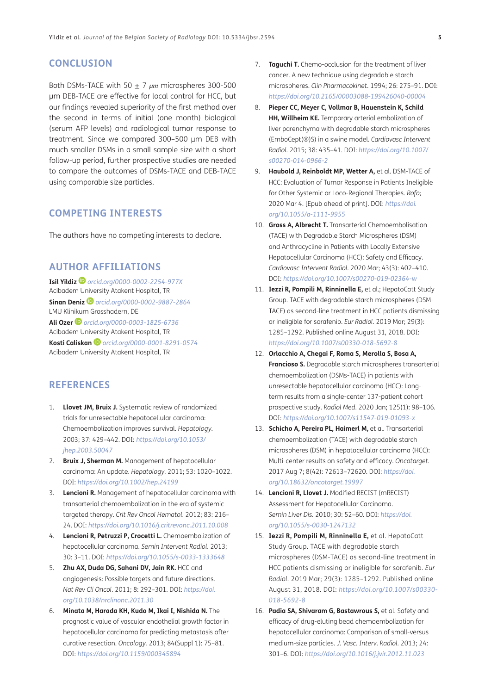# <span id="page-4-1"></span>**CONCLUSION**

Both DSMs-TACE with 50 ± 7 *µm* microspheres 300-500 μm DEB-TACE are effective for local control for HCC, but our findings revealed superiority of the first method over the second in terms of initial (one month) biological (serum AFP levels) and radiological tumor response to treatment. Since we compared 300–500 μm DEB with much smaller DSMs in a small sample size with a short follow-up period, further prospective studies are needed to compare the outcomes of DSMs-TACE and DEB-TACE using comparable size particles.

## **COMPETING INTERESTS**

The authors have no competing interests to declare.

# <span id="page-4-0"></span>**AUTHOR AFFILIATIONS**

**Isil Yildiz***[orcid.org/0000-0002-2254-977X](https://orcid.org/0000-0002-2254-977X)* Acibadem University Atakent Hospital, TR **Sinan Deniz** *[orcid.org/0000-0002-9887-2864](https://orcid.org/0000-0002-9887-2864)* LMU Klinikum Grosshadern, DE **Ali Ozer** *[orcid.org/0000-0003-1825-6736](https://orcid.org/0000-0003-1825-6736)* Acibadem University Atakent Hospital, TR **Kosti Caliskan***[orcid.org/0000-0001-8291-0574](https://orcid.org/0000-0001-8291-0574)* Acibadem University Atakent Hospital, TR

# **REFERENCES**

- 1. **Llovet JM, Bruix J.** Systematic review of randomized trials for unresectable hepatocellular carcinoma: Chemoembolization improves survival. *Hepatology*. 2003; 37: 429–442. DOI: *[https://doi.org/10.1053/](https://doi.org/10.1053/jhep.2003.50047) [jhep.2003.50047](https://doi.org/10.1053/jhep.2003.50047)*
- 2. **Bruix J, Sherman M.** Management of hepatocellular carcinoma: An update. *Hepatology*. 2011; 53: 1020–1022. DOI: *<https://doi.org/10.1002/hep.24199>*
- 3. **Lencioni R.** Management of hepatocellular carcinoma with transarterial chemoembolization in the era of systemic targeted therapy. *Crit Rev Oncol Hematol.* 2012; 83: 216– 24. DOI: *<https://doi.org/10.1016/j.critrevonc.2011.10.008>*
- 4. **Lencioni R, Petruzzi P, Crocetti L.** Chemoembolization of hepatocellular carcinoma. *Semin Intervent Radiol.* 2013; 30: 3–11. DOI: *<https://doi.org/10.1055/s-0033-1333648>*
- 5. **Zhu AX, Duda DG, Sahani DV, Jain RK.** HCC and angiogenesis: Possible targets and future directions. *Nat Rev Cli Oncol.* 2011; 8: 292–301. DOI: *[https://doi.](https://doi.org/10.1038/nrclinonc.2011.30) [org/10.1038/nrclinonc.2011.30](https://doi.org/10.1038/nrclinonc.2011.30)*
- 6. **Minata M, Harada KH, Kudo M, Ikai I, Nishida N.** The prognostic value of vascular endothelial growth factor in hepatocellular carcinoma for predicting metastasis after curative resection. *Oncology.* 2013; 84(Suppl 1): 75–81. DOI: *<https://doi.org/10.1159/000345894>*
- 7. **Taguchi T.** Chemo-occlusion for the treatment of liver cancer. A new technique using degradable starch microspheres. *Clin Pharmacokinet*. 1994; 26: 275–91. DOI: *<https://doi.org/10.2165/00003088-199426040-00004>*
- 8. **Pieper CC, Meyer C, Vollmar B, Hauenstein K, Schild HH, Willheim KE.** Temporary arterial embolization of liver parenchyma with degradable starch microspheres (EmboCept(®)S) in a swine model. *Cardiovasc Intervent Radiol.* 2015; 38: 435–41. DOI: *[https://doi.org/10.1007/](https://doi.org/10.1007/s00270-014-0966-2) [s00270-014-0966-2](https://doi.org/10.1007/s00270-014-0966-2)*
- 9. **Haubold J, Reinboldt MP, Wetter A,** et al. DSM-TACE of HCC: Evaluation of Tumor Response in Patients Ineligible for Other Systemic or Loco-Regional Therapies. *Rofo;* 2020 Mar 4. [Epub ahead of print]. DOI: *[https://doi.](https://doi.org/10.1055/a-1111-9955) [org/10.1055/a-1111-9955](https://doi.org/10.1055/a-1111-9955)*
- 10. **Gross A, Albrecht T.** Transarterial Chemoembolisation (TACE) with Degradable Starch Microspheres (DSM) and Anthracycline in Patients with Locally Extensive Hepatocellular Carcinoma (HCC): Safety and Efficacy. *Cardiovasc Intervent Radiol*. 2020 Mar; 43(3): 402–410. DOI: *<https://doi.org/10.1007/s00270-019-02364-w>*
- 11. **Iezzi R, Pompili M, Rinninella E,** et al.; HepatoCatt Study Group. TACE with degradable starch microspheres (DSM-TACE) as second-line treatment in HCC patients dismissing or ineligible for sorafenib. *Eur Radiol.* 2019 Mar; 29(3): 1285–1292. Published online August 31, 2018. DOI: *<https://doi.org/10.1007/s00330-018-5692-8>*
- 12. **Orlacchio A, Chegai F, Roma S, Merolla S, Bosa A, Francioso S.** Degradable starch microspheres transarterial chemoembolization (DSMs-TACE) in patients with unresectable hepatocellular carcinoma (HCC): Longterm results from a single-center 137-patient cohort prospective study. *Radiol Med*. 2020 Jan; 125(1): 98–106. DOI: *<https://doi.org/10.1007/s11547-019-01093-x>*
- 13. **Schicho A, Pereira PL, Haimerl M,** et al. Transarterial chemoembolization (TACE) with degradable starch microspheres (DSM) in hepatocellular carcinoma (HCC): Multi-center results on safety and efficacy. *Oncotarget*. 2017 Aug 7; 8(42): 72613–72620. DOI: *[https://doi.](https://doi.org/10.18632/oncotarget.19997) [org/10.18632/oncotarget.19997](https://doi.org/10.18632/oncotarget.19997)*
- 14. **Lencioni R, Llovet J.** Modified RECIST (mRECIST) Assessment for Hepatocellular Carcinoma. *Semin Liver Dis.* 2010; 30: 52–60. DOI: *[https://doi.](https://doi.org/10.1055/s-0030-1247132) [org/10.1055/s-0030-1247132](https://doi.org/10.1055/s-0030-1247132)*
- 15. **Iezzi R, Pompili M, Rinninella E,** et al. HepatoCatt Study Group. TACE with degradable starch microspheres (DSM-TACE) as second-line treatment in HCC patients dismissing or ineligible for sorafenib. *Eur Radiol.* 2019 Mar; 29(3): 1285–1292. Published online August 31, 2018. DOI: *[https://doi.org/10.1007/s00330-](https://doi.org/10.1007/s00330-018-5692-8) [018-5692-8](https://doi.org/10.1007/s00330-018-5692-8)*
- 16. **Padia SA, Shivaram G, Bastawrous S,** et al. Safety and efficacy of drug-eluting bead chemoembolization for hepatocellular carcinoma: Comparison of small-versus medium-size particles. *J. Vasc. Interv. Radiol.* 2013; 24: 301–6. DOI: *<https://doi.org/10.1016/j.jvir.2012.11.023>*